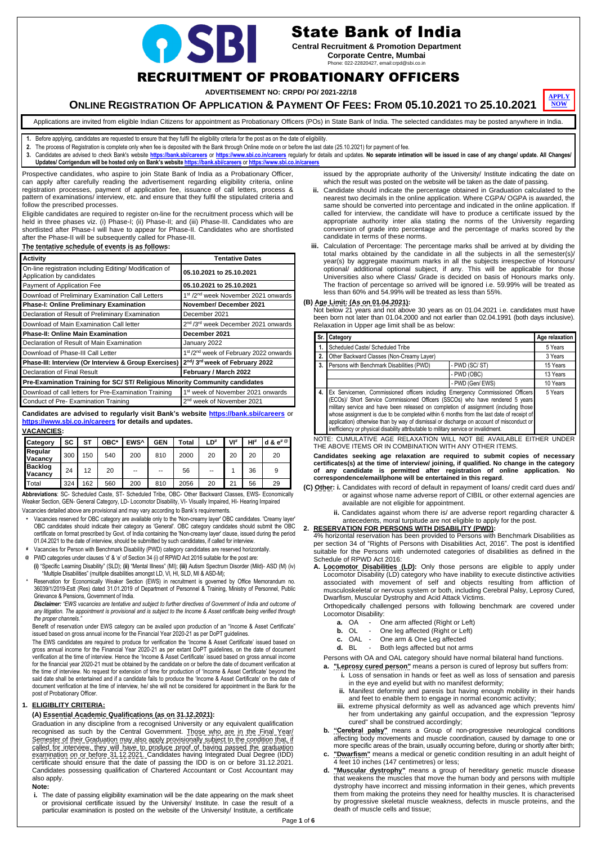Page **1** of **6**



# State Bank of India

**Central Recruitment & Promotion Department Corporate Centre, Mumbai** Phone: 022-22820427, email:crpd@sbi.co.in

## RECRUITMENT OF PROBATIONARY OFFICERS

**ADVERTISEMENT NO: CRPD/ PO/ 2021-22/18**



Applications are invited from eligible Indian Citizens for appointment as Probationary Officers (POs) in State Bank of India. The selected candidates may be posted anywhere in India.

**1.** Before applying, candidates are requested to ensure that they fulfil the eligibility criteria for the post as on the date of eligibility.

- **2.** The process of Registration is complete only when fee is deposited with the Bank through Online mode on or before the last date (25.10.2021) for payment of fee.
- 3. Candidates are advised to check Bank's website <https://bank.sbi/careers> or <https://www.sbi.co.in/careers> regularly for details and updates. No separate intimation will be issued in case of any change/ update. All Change **Updates/ Corrigendum will be hosted only on Bank's websit[e https://bank.sbi/careers](https://bank.sbi/careers)** or **<https://www.sbi.co.in/careers>**

Prospective candidates, who aspire to join State Bank of India as a Probationary Officer, can apply after carefully reading the advertisement regarding eligibility criteria, online registration processes, payment of application fee, issuance of call letters, process & pattern of examinations/ interview, etc. and ensure that they fulfil the stipulated criteria and follow the prescribed processes.

Eligible candidates are required to register on-line for the recruitment process which will be held in three phases viz. (i) Phase-I; (ii) Phase-II; and (iii) Phase-III. Candidates who are shortlisted after Phase-I will have to appear for Phase-II. Candidates who are shortlisted after the Phase-II will be subsequently called for Phase-III.

#### **The tentative schedule of events is as follows:**

| <b>Activity</b>                                                                      | <b>Tentative Dates</b>                                      |  |  |  |  |
|--------------------------------------------------------------------------------------|-------------------------------------------------------------|--|--|--|--|
| On-line registration including Editing/ Modification of<br>Application by candidates | 05.10.2021 to 25.10.2021                                    |  |  |  |  |
| Payment of Application Fee                                                           | 05.10.2021 to 25.10.2021                                    |  |  |  |  |
| Download of Preliminary Examination Call Letters                                     | 1 <sup>st</sup> /2 <sup>nd</sup> week November 2021 onwards |  |  |  |  |
| <b>Phase-I: Online Preliminary Examination</b>                                       | November/December 2021                                      |  |  |  |  |
| Declaration of Result of Preliminary Examination                                     | December 2021                                               |  |  |  |  |
| Download of Main Examination Call letter                                             | 2 <sup>nd</sup> /3 <sup>rd</sup> week December 2021 onwards |  |  |  |  |
| <b>Phase-II: Online Main Examination</b>                                             | December 2021                                               |  |  |  |  |
| Declaration of Result of Main Examination                                            | January 2022                                                |  |  |  |  |
| Download of Phase-III Call Letter                                                    | 1st/2 <sup>nd</sup> week of February 2022 onwards           |  |  |  |  |
| Phase-III: Interview (Or Interview & Group Exercises)                                | 2nd/3rd week of February 2022                               |  |  |  |  |
| Declaration of Final Result                                                          | February / March 2022                                       |  |  |  |  |
| Pre-Examination Training for SC/ ST/ Religious Minority Community candidates         |                                                             |  |  |  |  |
| Download of call letters for Pre-Examination Training                                | 1 <sup>st</sup> week of November 2021 onwards               |  |  |  |  |
| Conduct of Pre-Examination Training                                                  | 2 <sup>nd</sup> week of November 2021                       |  |  |  |  |
|                                                                                      |                                                             |  |  |  |  |

**Candidates are advised to regularly visit Bank's website<https://bank.sbi/careers>** or **<https://www.sbi.co.in/careers> for details and updates.**

#### **VACANCIES:**

| <b>Category</b>                  | <b>SC</b> | ST  | OBC* | EWS <sup>^</sup> | <b>GEN</b> | Total | LD# | VI# | $H I^*$ | d & $e^{\# \mathcal{Q}}$ |
|----------------------------------|-----------|-----|------|------------------|------------|-------|-----|-----|---------|--------------------------|
| Regular<br><b>Vacancy</b>        | 300       | 150 | 540  | 200              | 810        | 2000  | 20  | 20  | 20      | 20                       |
| <b>Backlog</b><br><b>Vacancy</b> | 24        | 12  | 20   | $- -$            | $-$        | 56    | --  |     | 36      |                          |
| Total                            | 324       | 162 | 560  | 200              | 810        | 2056  | 20  | 21  | 56      | 29                       |

**Abbreviations**: SC- Scheduled Caste, ST- Scheduled Tribe, OBC- Other Backward Classes, EWS- Economically Weaker Section, GEN- General Category, LD- Locomotor Disability, VI- Visually Impaired, HI- Hearing Impaired Vacancies detailed above are provisional and may vary according to Bank's requirements.

**i.** The date of passing eligibility examination will be the date appearing on the mark sheet or provisional certificate issued by the University/ Institute. In case the result of a particular examination is posted on the website of the University/ Institute, a certificate

- **\*** Vacancies reserved for OBC category are available only to the 'Non-creamy layer' OBC candidates. 'Creamy layer' OBC candidates should indicate their category as 'General'. OBC category candidates should submit the OBC certificate on format prescribed by Govt. of India containing the 'Non-creamy layer' clause, issued during the period 01.04.2021 to the date of interview, should be submitted by such candidates, if called for interview.
- **#** Vacancies for Person with Benchmark Disability (PWD) category candidates are reserved horizontally.
- **@** PWD categories under clauses 'd' & 'e' of Section 34 (i) of RPWD Act 2016 suitable for the post are: **(i)** "Specific Learning Disability" (SLD); **(ii)** "Mental Illness" (MI); **(iii)** Autism Spectrum Disorder (Mild)- ASD (M) (iv)
- "Multiple Disabilities" (multiple disabilities amongst LD, VI, HI, SLD, MI & ASD-M); **^** Reservation for Economically Weaker Section (EWS) in recruitment is governed by Office Memorandum no. 36039/1/2019-Estt (Res) dated 31.01.2019 of Department of Personnel & Training, Ministry of Personnel, Public Grievance & Pensions, Government of India.

*Disclaimer: "EWS vacancies are tentative and subject to further directives of Government of India and outcome of any litigation. The appointment is provisional and is subject to the Income & Asset certificate being verified through the proper channels."*

Benefit of reservation under EWS category can be availed upon production of an "Income & Asset Certificate" issued based on gross annual income for the Financial Year 2020-21 as per DoPT guidelines.

- **a.** OA One arm affected (Right or Left)
- **b.** OL One leg affected (Right or Left)
- 

The EWS candidates are required to produce for verification the 'Income & Asset Certificate' issued based on gross annual income for the Financial Year 2020-21 as per extant DoPT guidelines, on the date of document verification at the time of interview. Hence the 'Income & Asset Certificate' issued based on gross annual income for the financial year 2020-21 must be obtained by the candidate on or before the date of document verification at the time of interview. No request for extension of time for production of 'Income & Asset Certificate' beyond the said date shall be entertained and if a candidate fails to produce the 'Income & Asset Certificate' on the date of document verification at the time of interview, he/ she will not be considered for appointment in the Bank for the post of Probationary Officer.

#### **1. ELIGIBLITY CRITERIA:**

#### **(A) Essential Academic Qualifications (as on 31.12.2021):**

Graduation in any discipline from a recognised University or any equivalent qualification recognised as such by the Central Government. Those who are in the Final Year/ Semester of their Graduation may also apply provisionally subject to the condition that, if called for interview, they will have to produce proof of having passed the graduation examination on or before 31.12.2021. Candidates having Integrated Dual Degree (IDD) certificate should ensure that the date of passing the IDD is on or before 31.12.2021. Candidates possessing qualification of Chartered Accountant or Cost Accountant may also apply.

#### **Note:**

issued by the appropriate authority of the University/ Institute indicating the date on which the result was posted on the website will be taken as the date of passing.

- **ii.** Candidate should indicate the percentage obtained in Graduation calculated to the nearest two decimals in the online application. Where CGPA/ OGPA is awarded, the same should be converted into percentage and indicated in the online application. If called for interview, the candidate will have to produce a certificate issued by the appropriate authority inter alia stating the norms of the University regarding conversion of grade into percentage and the percentage of marks scored by the candidate in terms of these norms.
- **iii.** Calculation of Percentage: The percentage marks shall be arrived at by dividing the total marks obtained by the candidate in all the subjects in all the semester(s)/ year(s) by aggregate maximum marks in all the subjects irrespective of Honours/ optional/ additional optional subject, if any. This will be applicable for those Universities also where Class/ Grade is decided on basis of Honours marks only. The fraction of percentage so arrived will be ignored i.e. 59.99% will be treated as less than 60% and 54.99% will be treated as less than 55%.

#### **(B) Age Limit: (As on 01.04.2021):**

Not below 21 years and not above 30 years as on 01.04.2021 i.e. candidates must have been born not later than 01.04.2000 and not earlier than 02.04.1991 (both days inclusive). Relaxation in Upper age limit shall be as below:

| Sr. | Category                                                                                                                                                                                                                                                                                                                                                                                                                                                                                                                                |                 | Age relaxation |  |
|-----|-----------------------------------------------------------------------------------------------------------------------------------------------------------------------------------------------------------------------------------------------------------------------------------------------------------------------------------------------------------------------------------------------------------------------------------------------------------------------------------------------------------------------------------------|-----------------|----------------|--|
|     | Scheduled Caste/ Scheduled Tribe                                                                                                                                                                                                                                                                                                                                                                                                                                                                                                        |                 | 5 Years        |  |
| 2.  | Other Backward Classes (Non-Creamy Layer)                                                                                                                                                                                                                                                                                                                                                                                                                                                                                               |                 | 3 Years        |  |
| 3.  | Persons with Benchmark Disabilities (PWD)                                                                                                                                                                                                                                                                                                                                                                                                                                                                                               | - PWD (SC/ST)   | 15 Years       |  |
|     |                                                                                                                                                                                                                                                                                                                                                                                                                                                                                                                                         | 13 Years        |                |  |
|     |                                                                                                                                                                                                                                                                                                                                                                                                                                                                                                                                         | - PWD (Gen/EWS) | 10 Years       |  |
| 4.  | Ex Servicemen, Commissioned officers including Emergency Commissioned Officers<br>(ECOs)/ Short Service Commissioned Officers (SSCOs) who have rendered 5 years<br>military service and have been released on completion of assignment (including those<br>whose assignment is due to be completed within 6 months from the last date of receipt of<br>application) otherwise than by way of dismissal or discharge on account of misconduct or<br>inefficiency or physical disability attributable to military service or invalidment. |                 |                |  |

NOTE: CUMULATIVE AGE RELAXATION WILL NOT BE AVAILABLE EITHER UNDER THE ABOVE ITEMS OR IN COMBINATION WITH ANY OTHER ITEMS.

**Candidates seeking age relaxation are required to submit copies of necessary certificates(s) at the time of interview/ joining, if qualified. No change in the category of any candidate is permitted after registration of online application. No correspondence/email/phone will be entertained in this regard**.

- **(C) Other: i.** Candidates with record of default in repayment of loans/ credit card dues and/ or against whose name adverse report of CIBIL or other external agencies are available are not eligible for appointment.
	- **ii.** Candidates against whom there is/ are adverse report regarding character & antecedents, moral turpitude are not eligible to apply for the post.

#### **2. RESERVATION FOR PERSONS WITH DISABILITY (PWD):**

4% horizontal reservation has been provided to Persons with Benchmark Disabilities as per section 34 of "Rights of Persons with Disabilities Act, 2016". The post is identified suitable for the Persons with undernoted categories of disabilities as defined in the Schedule of RPWD Act 2016:

**A. Locomotor Disabilities (LD):** Only those persons are eligible to apply under Locomotor Disability (LD) category who have inability to execute distinctive activities associated with movement of self and objects resulting from affliction of musculoskeletal or nervous system or both, including Cerebral Palsy, Leprosy Cured, Dwarfism, Muscular Dystrophy and Acid Attack Victims.

Orthopedically challenged persons with following benchmark are covered under Locomotor Disability:

- **c.** OAL One arm & One Leg affected
- **d.** BL Both legs affected but not arms

Persons with OA and OAL category should have normal bilateral hand functions.

- **a. "Leprosy cured person"** means a person is cured of leprosy but suffers from:
	- **i.** Loss of sensation in hands or feet as well as loss of sensation and paresis in the eye and eyelid but with no manifest deformity;
	- **ii.** Manifest deformity and paresis but having enough mobility in their hands and feet to enable them to engage in normal economic activity;
	- **iii.** extreme physical deformity as well as advanced age which prevents him/ her from undertaking any gainful occupation, and the expression "leprosy cured" shall be construed accordingly;
- **b. "Cerebral palsy"** means a Group of non-progressive neurological conditions affecting body movements and muscle coordination, caused by damage to one or more specific areas of the brain, usually occurring before, during or shortly after birth;
- **"Dwarfism"** means a medical or genetic condition resulting in an adult height of 4 feet 10 inches (147 centimetres) or less;
- **d. "Muscular dystrophy"** means a group of hereditary genetic muscle disease that weakens the muscles that move the human body and persons with multiple dystrophy have incorrect and missing information in their genes, which prevents them from making the proteins they need for healthy muscles. It is characterised by progressive skeletal muscle weakness, defects in muscle proteins, and the death of muscle cells and tissue;

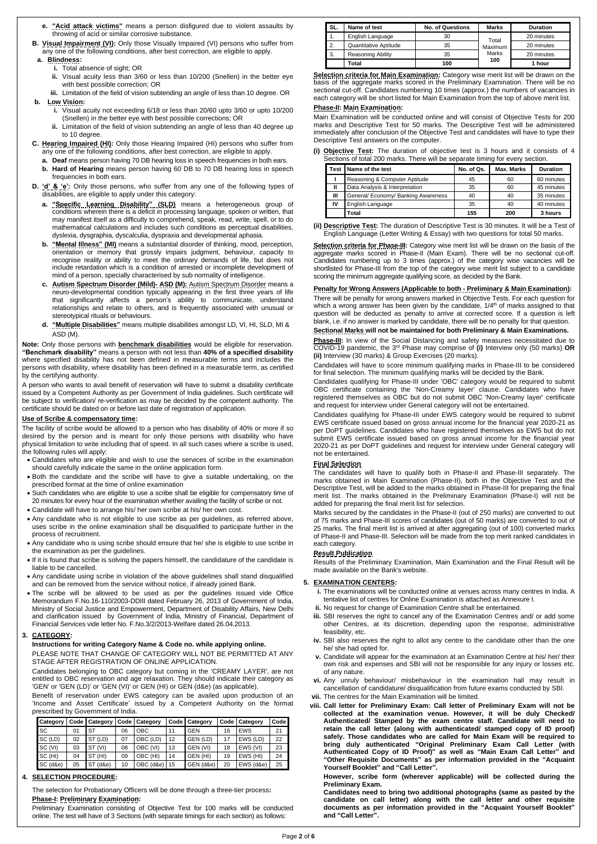- **e. "Acid attack victims"** means a person disfigured due to violent assaults by throwing of acid or similar corrosive substance.
- **B.** Visual Impairment (VI): Only those Visually Impaired (VI) persons who suffer from any one of the following conditions, after best correction, are eligible to apply.

#### **a. Blindness:**

- **i.** Total absence of sight; OR
- **ii.** Visual acuity less than 3/60 or less than 10/200 (Snellen) in the better eye with best possible correction; OR
- **iii.** Limitation of the field of vision subtending an angle of less than 10 degree. OR

#### **b. Low Vision:**

- **i.** Visual acuity not exceeding 6/18 or less than 20/60 upto 3/60 or upto 10/200 (Snellen) in the better eye with best possible corrections; OR
- **ii.** Limitation of the field of vision subtending an angle of less than 40 degree up to 10 degree.
- **C. Hearing Impaired (HI):** Only those Hearing Impaired (HI) persons who suffer from any one of the following conditions, after best correction, are eligible to apply.
	- **a. Deaf** means person having 70 DB hearing loss in speech frequencies in both ears.
	- **b. Hard of Hearing** means person having 60 DB to 70 DB hearing loss in speech frequencies in both ears.
- **D.**  $^{\prime}d^{\prime}$  &  $^{\prime}e^{\prime}$ : Only those persons, who suffer from any one of the following types of disabilities, are eligible to apply under this category:
	- **a. "Specific Learning Disability" (SLD)** means a heterogeneous group of conditions wherein there is a deficit in processing language, spoken or written, that may manifest itself as a difficulty to comprehend, speak, read, write, spell, or to do mathematical calculations and includes such conditions as perceptual disabilities, dyslexia, dysgraphia, dyscalculia, dyspraxia and developmental aphasia.
	- **b. "Mental Illness" (MI)** means a substantial disorder of thinking, mood, perception, orientation or memory that grossly impairs judgment, behaviour, capacity to recognise reality or ability to meet the ordinary demands of life, but does not include retardation which is a condition of arrested or incomplete development of mind of a person, specially characterised by sub normality of intelligence.
	- **c. Autism Spectrum Disorder (Mild)- ASD (M):** Autism Spectrum Disorder means a neuro-developmental condition typically appearing in the first three years of life that significantly affects a person's ability to communicate, understand relationships and relate to others, and is frequently associated with unusual or stereotypical rituals or behaviours.
	- **d. "Multiple Disabilities"** means multiple disabilities amongst LD, VI, HI, SLD, MI & ASD (M).

**Note:** Only those persons with **benchmark disabilities** would be eligible for reservation. **"Benchmark disability"** means a person with not less than **40% of a specified disability** where specified disability has not been defined in measurable terms and includes the persons with disability, where disability has been defined in a measurable term, as certified by the certifying authority.

A person who wants to avail benefit of reservation will have to submit a disability certificate issued by a Competent Authority as per Government of India guidelines. Such certificate will be subject to verification/ re-verification as may be decided by the competent authority. The certificate should be dated on or before last date of registration of application.

#### **Use of Scribe & compensatory time:**

The facility of scribe would be allowed to a person who has disability of 40% or more if so desired by the person and is meant for only those persons with disability who have physical limitation to write including that of speed. In all such cases where a scribe is used, the following rules will apply:

**Selection criteria for Phase-III:** Category wise merit list will be drawn on the basis of the aggregate marks scored in Phase-II (Main Exam). There will be no sectional cut-off. Candidates numbering up to 3 times (approx.) of the category wise vacancies will be shortlisted for Phase-III from the top of the category wise merit list subject to a candidate scoring the minimum aggregate qualifying score, as decided by the Bank.

- Candidates who are eligible and wish to use the services of scribe in the examination should carefully indicate the same in the online application form.
- Both the candidate and the scribe will have to give a suitable undertaking, on the prescribed format at the time of online examination
- Such candidates who are eligible to use a scribe shall be eligible for compensatory time of 20 minutes for every hour of the examination whether availing the facility of scribe or not.
- Candidate will have to arrange his/ her own scribe at his/ her own cost.
- Any candidate who is not eligible to use scribe as per guidelines, as referred above, uses scribe in the online examination shall be disqualified to participate further in the process of recruitment.
- Any candidate who is using scribe should ensure that he/ she is eligible to use scribe in the examination as per the guidelines.
- If it is found that scribe is solving the papers himself, the candidature of the candidate is liable to be cancelled.
- Any candidate using scribe in violation of the above guidelines shall stand disqualified and can be removed from the service without notice, if already joined Bank.
- The scribe will be allowed to be used as per the guidelines issued vide Office Memorandum F.No.16-110/2003-DDIII dated February 26, 2013 of Government of India, Ministry of Social Justice and Empowerment, Department of Disability Affairs, New Delhi and clarification issued by Government of India, Ministry of Financial, Department of Financial Services vide letter No. F.No.3/2/2013-Welfare dated 26.04.2013.

**Phase-III:** In view of the Social Distancing and safety measures necessitated due to COVID-19 pandemic, the 3 rd Phase may comprise of **(i)** Interview only (50 marks) **OR (ii)** Interview (30 marks) & Group Exercises (20 marks).

#### **3. CATEGORY:**

#### **Instructions for writing Category Name & Code no. while applying online.**  PLEASE NOTE THAT CHANGE OF CATEGORY WILL NOT BE PERMITTED AT ANY STAGE AFTER REGISTRATION OF ONLINE APPLICATION.

Candidates belonging to OBC category but coming in the 'CREAMY LAYER', are not entitled to OBC reservation and age relaxation. They should indicate their category as 'GEN' or 'GEN (LD)' or 'GEN (VI)' or GEN (HI) or GEN (d&e) (as applicable).

Benefit of reservation under EWS category can be availed upon production of an 'Income and Asset Certificate' issued by a Competent Authority on the format prescribed by Government of India.

| Category |    | Code   Category |    | Code   Category |    | Code   Category |    | Code   Category | Code |
|----------|----|-----------------|----|-----------------|----|-----------------|----|-----------------|------|
| SC       | 01 | ST              | 06 | <b>OBC</b>      | 11 | <b>GEN</b>      | 16 | EWS             | 21   |
| SC (LD)  | 02 | ST (LD)         | 07 | OBC (LD)        | 12 | GEN (LD)        | 17 | EWS (LD)        | 22   |
| SC (VI)  | 03 | ST (VI)         | 08 | OBC (VI)        | 13 | GEN (VI)        | 18 | EWS (VI)        | 23   |
| SC (HI)  | 04 | ST (HI)         | 09 | OBC (HI)        | 14 | GEN (HI)        | 19 | EWS (HI)        | 24   |
| SC (d&e) | 05 | $(d\&e)$<br>ST  | 10 | OBC (d&e)       | 15 | GEN (d&e)       | 20 | EWS (d&e)       | 25   |

#### **4. SELECTION PROCEDURE:**

The selection for Probationary Officers will be done through a three-tier process**:**

#### **Phase-I: Preliminary Examination:**

Preliminary Examination consisting of Objective Test for 100 marks will be conducted online. The test will have of 3 Sections (with separate timings for each section) as follows:

| SL. | Name of test          | <b>No. of Questions</b> | <b>Marks</b>   | <b>Duration</b> |
|-----|-----------------------|-------------------------|----------------|-----------------|
| 1.  | English Language      | 30                      | Total          | 20 minutes      |
| 2.  | Quantitative Aptitude | 35                      | <b>Maximum</b> | 20 minutes      |
| 3.  | Reasoning Ability     | 35                      | Marks          | 20 minutes      |
|     | Total                 | 100                     | 100            | 1 hour          |

**Selection criteria for Main Examination:** Category wise merit list will be drawn on the basis of the aggregate marks scored in the Preliminary Examination. There will be no sectional cut-off. Candidates numbering 10 times (approx.) the numbers of vacancies in each category will be short listed for Main Examination from the top of above merit list.

#### **Phase-II: Main Examination:**

Main Examination will be conducted online and will consist of Objective Tests for 200 marks and Descriptive Test for 50 marks. The Descriptive Test will be administered immediately after conclusion of the Objective Test and candidates will have to type their Descriptive Test answers on the computer.

**(i) Objective Test:** The duration of objective test is 3 hours and it consists of 4 Sections of total 200 marks. There will be separate timing for every section.

|    | Test Name of the test               | No. of Qs. | <b>Max. Marks</b> | <b>Duration</b> |
|----|-------------------------------------|------------|-------------------|-----------------|
|    | Reasoning & Computer Aptitude       | 45         | 60                | 60 minutes      |
| ш  | Data Analysis & Interpretation      | 35         | 60                | 45 minutes      |
| Ш  | General/ Economy/ Banking Awareness | 40         | 40                | 35 minutes      |
| IV | English Language                    | 35         | 40                | 40 minutes      |
|    | Total                               | 155        | 200               | 3 hours         |

**(ii) Descriptive Test:** The duration of Descriptive Test is 30 minutes. It will be a Test of English Language (Letter Writing & Essay) with two questions for total 50 marks.

#### **Penalty for Wrong Answers (Applicable to both - Preliminary & Main Examination):**

There will be penalty for wrong answers marked in Objective Tests. For each question for which a wrong answer has been given by the candidate,  $1/4<sup>th</sup>$  of marks assigned to that question will be deducted as penalty to arrive at corrected score. If a question is left blank, i.e. if no answer is marked by candidate, there will be no penalty for that question.

**Sectional Marks will not be maintained for both Preliminary & Main Examinations.**

Candidates will have to score minimum qualifying marks in Phase-III to be considered for final selection. The minimum qualifying marks will be decided by the Bank.

Candidates qualifying for Phase-III under 'OBC' category would be required to submit OBC certificate containing the 'Non-Creamy layer' clause. Candidates who have registered themselves as OBC but do not submit OBC 'Non-Creamy layer' certificate and request for interview under General category will not be entertained.

Candidates qualifying for Phase-III under EWS category would be required to submit EWS certificate issued based on gross annual income for the financial year 2020-21 as per DoPT guidelines. Candidates who have registered themselves as EWS but do not submit EWS certificate issued based on gross annual income for the financial year 2020-21 as per DoPT guidelines and request for interview under General category will not be entertained.

#### **Final Selection**

The candidates will have to qualify both in Phase-II and Phase-III separately. The marks obtained in Main Examination (Phase-II), both in the Objective Test and the Descriptive Test, will be added to the marks obtained in Phase-III for preparing the final merit list. The marks obtained in the Preliminary Examination (Phase-I) will not be added for preparing the final merit list for selection.

Marks secured by the candidates in the Phase-II (out of 250 marks) are converted to out of 75 marks and Phase-III scores of candidates (out of 50 marks) are converted to out of 25 marks. The final merit list is arrived at after aggregating (out of 100) converted marks of Phase-II and Phase-III. Selection will be made from the top merit ranked candidates in each category.

#### **Result Publication**

Results of the Preliminary Examination, Main Examination and the Final Result will be made available on the Bank's website.

#### **5. EXAMINATION CENTERS:**

- **i.** The examinations will be conducted online at venues across many centres in India. A tentative list of centres for Online Examination is attached as Annexure I.
- **ii.** No request for change of Examination Centre shall be entertained.
- **iii.** SBI reserves the right to cancel any of the Examination Centres and/ or add some other Centres, at its discretion, depending upon the response, administrative feasibility, etc.
- **iv.** SBI also reserves the right to allot any centre to the candidate other than the one he/ she had opted for.

- **v.** Candidate will appear for the examination at an Examination Centre at his/ her/ their own risk and expenses and SBI will not be responsible for any injury or losses etc. of any nature.
- **vi.** Any unruly behaviour/ misbehaviour in the examination hall may result in cancellation of candidature/ disqualification from future exams conducted by SBI.
- **vii.** The centres for the Main Examination will be limited.
- **viii. Call letter for Preliminary Exam: Call letter of Preliminary Exam will not be collected at the examination venue. However, it will be duly Checked/ Authenticated/ Stamped by the exam centre staff. Candidate will need to retain the call letter (along with authenticated/ stamped copy of ID proof) safely. Those candidates who are called for Main Exam will be required to bring duly authenticated "Original Preliminary Exam Call Letter (with Authenticated Copy of ID Proof)" as well as "Main Exam Call Letter" and "Other Requisite Documents" as per information provided in the "Acquaint Yourself Booklet" and "Call Letter".**

**However, scribe form (wherever applicable) will be collected during the Preliminary Exam.**

**Candidates need to bring two additional photographs (same as pasted by the candidate on call letter) along with the call letter and other requisite documents as per information provided in the "Acquaint Yourself Booklet" and "Call Letter".**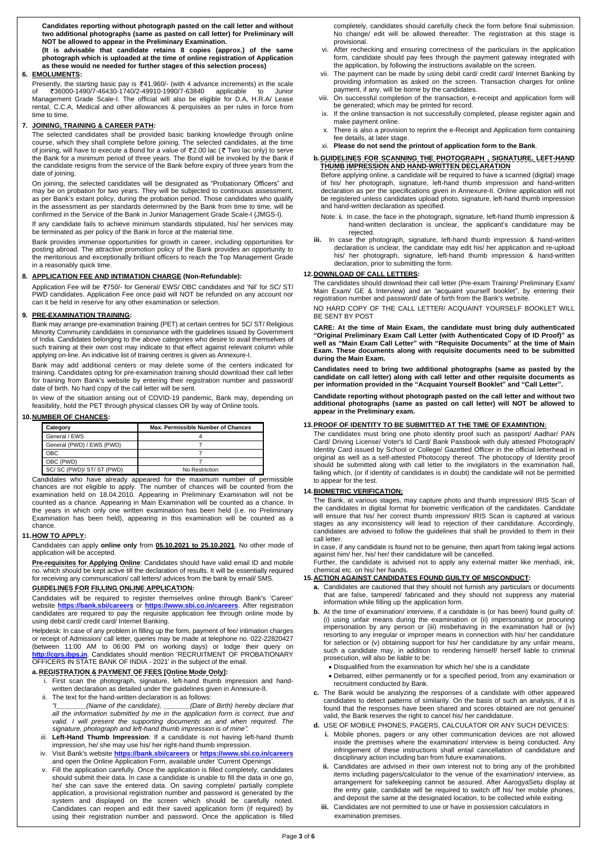**Candidates reporting without photograph pasted on the call letter and without two additional photographs (same as pasted on call letter) for Preliminary will NOT be allowed to appear in the Preliminary Examination.**

**(It is advisable that candidate retains 8 copies (approx.) of the same photograph which is uploaded at the time of online registration of Application as these would ne needed for further stages of this selection process)**

Presently, the starting basic pay is  $\overline{5}41,960/$ - (with 4 advance increments) in the scale of 36000-1490/7-46430-1740/2-49910-1990/7-63840 applicable to Junior Management Grade Scale-I. The official will also be eligible for D.A, H.R.A/ Lease rental, C.C.A, Medical and other allowances & perquisites as per rules in force from time to time.

#### **6. EMOLUMENTS:**

#### **7. JOINING, TRAINING & CAREER PATH:**

The selected candidates shall be provided basic banking knowledge through online course, which they shall complete before joining. The selected candidates, at the time of joining, will have to execute a Bond for a value of  $\overline{22.00}$  lac ( $\overline{2}$  Two lac only) to serve the Bank for a minimum period of three years. The Bond will be invoked by the Bank if the candidate resigns from the service of the Bank before expiry of three years from the date of joining.

On joining, the selected candidates will be designated as "Probationary Officers" and may be on probation for two years. They will be subjected to continuous assessment, as per Bank's extant policy, during the probation period. Those candidates who qualify in the assessment as per standards determined by the Bank from time to time, will be confirmed in the Service of the Bank in Junior Management Grade Scale-I (JMGS-I).

If any candidate fails to achieve minimum standards stipulated, his/ her services may be terminated as per policy of the Bank in force at the material time.

Bank provides immense opportunities for growth in career, including opportunities for posting abroad. The attractive promotion policy of the Bank provides an opportunity to the meritorious and exceptionally brilliant officers to reach the Top Management Grade in a reasonably quick time.

#### **8. APPLICATION FEE AND INTIMATION CHARGE (Non-Refundable):**

**Pre-requisites for Applying Online**: Candidates should have valid email ID and mobile no. which should be kept active till the declaration of results. It will be essentially required for receiving any communication/ call letters/ advices from the bank by email/ SMS.

Application Fee will be 750/- for General/ EWS/ OBC candidates and 'Nil' for SC/ ST/ PWD candidates. Application Fee once paid will NOT be refunded on any account nor can it be held in reserve for any other examination or selection.

#### **9. PRE-EXAMINATION TRAINING:**

Bank may arrange pre-examination training (PET) at certain centres for SC/ ST/ Religious Minority Community candidates in consonance with the guidelines issued by Government of India. Candidates belonging to the above categories who desire to avail themselves of such training at their own cost may indicate to that effect against relevant column while applying on-line. An indicative list of training centres is given as Annexure-I.

Bank may add additional centers or may delete some of the centers indicated for training. Candidates opting for pre-examination training should download their call letter for training from Bank's website by entering their registration number and password/ date of birth. No hard copy of the call letter will be sent.

In view of the situation arising out of COVID-19 pandemic, Bank may, depending on feasibility, hold the PET through physical classes OR by way of Online tools.

#### **10.NUMBER OF CHANCES:**

| Category                  | Max. Permissible Number of Chances |
|---------------------------|------------------------------------|
| General / EWS             |                                    |
| General (PWD) / EWS (PWD) |                                    |
| OBC                       |                                    |
| OBC (PWD)                 |                                    |
| SC/SC (PWD)/ST/ST (PWD)   | No Restriction                     |

Candidates who have already appeared for the maximum number of permissible chances are not eligible to apply. The number of chances will be counted from the examination held on 18.04.2010. Appearing in Preliminary Examination will not be counted as a chance. Appearing in Main Examination will be counted as a chance. In the years in which only one written examination has been held (i.e. no Preliminary Examination has been held), appearing in this examination will be counted as a chance.

#### **11.HOW TO APPLY:**

Candidates can apply **online only** from **05.10.2021 to 25.10.2021**. No other mode of application will be accepted.

#### **GUIDELINES FOR FILLING ONLINE APPLICATION:**

Candidates will be required to register themselves online through Bank's 'Career' website **<https://bank.sbi/careers>** or **<https://www.sbi.co.in/careers>**. After registration candidates are required to pay the requisite application fee through online mode by using debit card/ credit card/ Internet Banking.

Helpdesk: In case of any problem in filling up the form, payment of fee/ intimation charges

or receipt of Admission/ call letter, queries may be made at telephone no. 022-22820427 (between 11:00 AM to 06:00 PM on working days) or lodge their query on **[http://cgrs.ibps.in](http://cgrs.ibps.in/)**. Candidates should mention 'RECRUITMENT OF PROBATIONARY OFFICERS IN STATE BANK OF INDIA - 2021' in the subject of the email.

#### **a. REGISTRATION & PAYMENT OF FEES [Online Mode Only]:**

- i. First scan the photograph, signature, left-hand thumb impression and handwritten declaration as detailed under the guidelines given in Annexure-II.
- ii. The text for the hand-written declaration is as follows:
- *(Name of the candidate), \_\_\_\_\_\_\_(Date of Birth) hereby declare that all the information submitted by me in the application form is correct, true and valid. I will present the supporting documents as and when required. The signature, photograph and left-hand thumb impression is of mine".*
- *iii.* **Left-Hand Thumb Impression**: If a candidate is not having left-hand thumb impression, he/ she may use his/ her right-hand thumb impression.
- iv. Visit Bank's website **<https://bank.sbi/careers>** or **<https://www.sbi.co.in/careers>** and open the Online Application Form, available under 'Current Openings'.
- v. Fill the application carefully. Once the application is filled completely, candidates should submit their data. In case a candidate is unable to fill the data in one go, he/ she can save the entered data. On saving complete/ partially complete application, a provisional registration number and password is generated by the system and displayed on the screen which should be carefully noted. Candidates can reopen and edit their saved application form (if required) by using their registration number and password. Once the application is filled

completely, candidates should carefully check the form before final submission. No change/ edit will be allowed thereafter. The registration at this stage is provisional.

- vi. After rechecking and ensuring correctness of the particulars in the application form, candidate should pay fees through the payment gateway integrated with the application, by following the instructions available on the screen.
- vii. The payment can be made by using debit card/ credit card/ Internet Banking by providing information as asked on the screen. Transaction charges for online payment, if any, will be borne by the candidates.
- viii. On successful completion of the transaction, e-receipt and application form will be generated; which may be printed for record.
- ix. If the online transaction is not successfully completed, please register again and make payment online.
- There is also a provision to reprint the e-Receipt and Application form containing fee details, at later stage.
- xi. **Please do not send the printout of application form to the Bank**.

#### **b.GUIDELINES FOR SCANNING THE PHOTOGRAPH , SIGNATURE, LEFT-HAND THUMB IMPRESSION AND HAND-WRITTEN DECLARATION**

Before applying online, a candidate will be required to have a scanned (digital) image of his/ her photograph, signature, left-hand thumb impression and hand-written declaration as per the specifications given in Annexure-II. Online application will not be registered unless candidates upload photo, signature, left-hand thumb impression and hand-written declaration as specified.

Note: **i.** In case, the face in the photograph, signature, left-hand thumb impression & hand-written declaration is unclear, the applicant's candidature may be rejected.

**iii.** In case the photograph, signature, left-hand thumb impression & hand-written declaration is unclear, the candidate may edit his/ her application and re-upload his/ her photograph, signature, left-hand thumb impression & hand-written declaration, prior to submitting the form.

#### **12.DOWNLOAD OF CALL LETTERS:**

The candidates should download their call letter (Pre-exam Training/ Preliminary Exam/ Main Exam/ GE & Interview) and an "acquaint yourself booklet", by entering their registration number and password/ date of birth from the Bank's website.

NO HARD COPY OF THE CALL LETTER/ ACQUAINT YOURSELF BOOKLET WILL BE SENT BY POST

**CARE: At the time of Main Exam, the candidate must bring duly authenticated "Original Preliminary Exam Call Letter (with Authenticated Copy of ID Proof)" as well as "Main Exam Call Letter" with "Requisite Documents" at the time of Main Exam. These documents along with requisite documents need to be submitted during the Main Exam.**

**Candidates need to bring two additional photographs (same as pasted by the candidate on call letter) along with call letter and other requisite documents as per information provided in the "Acquaint Yourself Booklet" and "Call Letter".**

**Candidate reporting without photograph pasted on the call letter and without two additional photographs (same as pasted on call letter) will NOT be allowed to appear in the Preliminary exam.**

#### **13.PROOF OF IDENTITY TO BE SUBMITTED AT THE TIME OF EXAMINTION:**

The candidates must bring one photo identity proof such as passport/ Aadhar/ PAN Card/ Driving License/ Voter's Id Card/ Bank Passbook with duly attested Photograph/ Identity Card issued by School or College/ Gazetted Officer in the official letterhead in original as well as a self-attested Photocopy thereof. The photocopy of Identity proof should be submitted along with call letter to the invigilators in the examination hall, failing which, (or if identity of candidates is in doubt) the candidate will not be permitted to appear for the test.

#### **14.BIOMETRIC VERIFICATION:**

The Bank, at various stages, may capture photo and thumb impression/ IRIS Scan of the candidates in digital format for biometric verification of the candidates. Candidate will ensure that his/ her correct thumb impression/ IRIS Scan is captured at various stages as any inconsistency will lead to rejection of their candidature. Accordingly, candidates are advised to follow the guidelines that shall be provided to them in their call letter.

In case, if any candidate is found not to be genuine, then apart from taking legal actions against him/ her, his/ her/ their candidature will be cancelled.

Further, the candidate is advised not to apply any external matter like menhadi, ink, chemical etc. on his/ her hands.

#### **15.ACTION AGAINST CANDIDATES FOUND GUILTY OF MISCONDUCT:**

- **a.** Candidates are cautioned that they should not furnish any particulars or documents that are false, tampered/ fabricated and they should not suppress any material information while filling up the application form.
- **b.** At the time of examination/interview, if a candidate is (or has been) found guilty of: (i) using unfair means during the examination or (ii) impersonating or procuring impersonation by any person or (iii) misbehaving in the examination hall or (iv) resorting to any irregular or improper means in connection with his/ her candidature

for selection or (v) obtaining support for his/ her candidature by any unfair means, such a candidate may, in addition to rendering himself/ herself liable to criminal prosecution, will also be liable to be:

- Disqualified from the examination for which he/ she is a candidate
- Debarred, either permanently or for a specified period, from any examination or recruitment conducted by Bank.
- **c.** The Bank would be analyzing the responses of a candidate with other appeared candidates to detect patterns of similarity. On the basis of such an analysis, if it is found that the responses have been shared and scores obtained are not genuine/ valid, the Bank reserves the right to cancel his/ her candidature.
- **d.** USE OF MOBILE PHONES, PAGERS, CALCULATOR OR ANY SUCH DEVICES:
	- **i.** Mobile phones, pagers or any other communication devices are not allowed inside the premises where the examination/ interview is being conducted. Any infringement of these instructions shall entail cancellation of candidature and disciplinary action including ban from future examinations.
	- **ii.** Candidates are advised in their own interest not to bring any of the prohibited items including pagers/calculator to the venue of the examination/ interview, as arrangement for safekeeping cannot be assured. After AarogyaSetu display at the entry gate, candidate will be required to switch off his/ her mobile phones, and deposit the same at the designated location, to be collected while exiting.
	- **iii.** Candidates are not permitted to use or have in possession calculators in examination premises.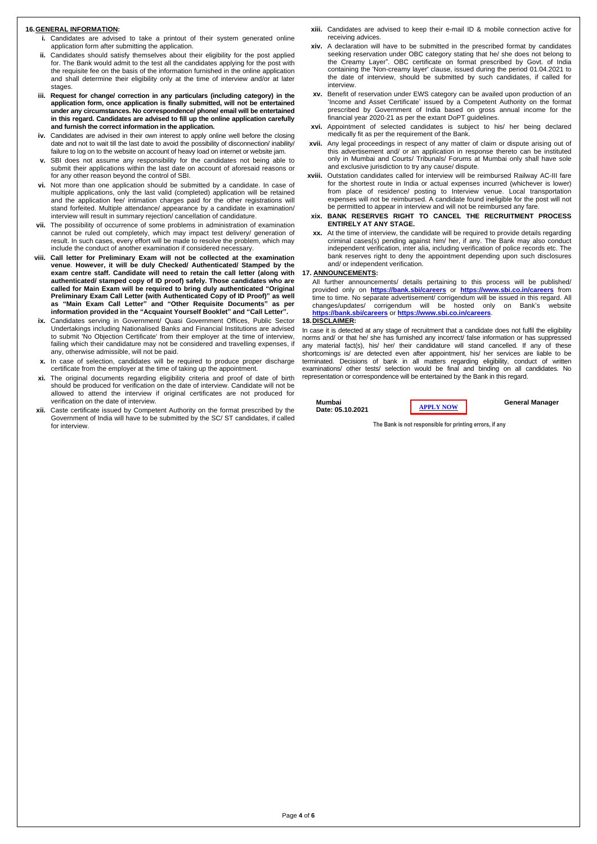Page **4** of **6**

#### **16.GENERAL INFORMATION:**

- **i.** Candidates are advised to take a printout of their system generated online application form after submitting the application.
- **ii.** Candidates should satisfy themselves about their eligibility for the post applied for. The Bank would admit to the test all the candidates applying for the post with the requisite fee on the basis of the information furnished in the online application and shall determine their eligibility only at the time of interview and/or at later stages.
- **iii. Request for change/ correction in any particulars (including category) in the application form, once application is finally submitted, will not be entertained under any circumstances. No correspondence/ phone/ email will be entertained in this regard. Candidates are advised to fill up the online application carefully and furnish the correct information in the application.**
- **iv.** Candidates are advised in their own interest to apply online well before the closing date and not to wait till the last date to avoid the possibility of disconnection/ inability/ failure to log on to the website on account of heavy load on internet or website jam.
- **v.** SBI does not assume any responsibility for the candidates not being able to submit their applications within the last date on account of aforesaid reasons or for any other reason beyond the control of SBI.
- **vi.** Not more than one application should be submitted by a candidate. In case of multiple applications, only the last valid (completed) application will be retained and the application fee/ intimation charges paid for the other registrations will stand forfeited. Multiple attendance/ appearance by a candidate in examination/ interview will result in summary rejection/ cancellation of candidature.
- **vii.** The possibility of occurrence of some problems in administration of examination cannot be ruled out completely, which may impact test delivery/ generation of result. In such cases, every effort will be made to resolve the problem, which may include the conduct of another examination if considered necessary.
- **viii. Call letter for Preliminary Exam will not be collected at the examination venue**. **However, it will be duly Checked/ Authenticated/ Stamped by the exam centre staff. Candidate will need to retain the call letter (along with authenticated/ stamped copy of ID proof) safely. Those candidates who are called for Main Exam will be required to bring duly authenticated "Original Preliminary Exam Call Letter (with Authenticated Copy of ID Proof)" as well as "Main Exam Call Letter" and "Other Requisite Documents" as per information provided in the "Acquaint Yourself Booklet" and "Call Letter".**
- **ix.** Candidates serving in Government/ Quasi Government Offices, Public Sector Undertakings including Nationalised Banks and Financial Institutions are advised to submit 'No Objection Certificate' from their employer at the time of interview, failing which their candidature may not be considered and travelling expenses, if any, otherwise admissible, will not be paid.
- **x.** In case of selection, candidates will be required to produce proper discharge certificate from the employer at the time of taking up the appointment.
- **xi.** The original documents regarding eligibility criteria and proof of date of birth should be produced for verification on the date of interview. Candidate will not be allowed to attend the interview if original certificates are not produced for verification on the date of interview.
- **xii.** Caste certificate issued by Competent Authority on the format prescribed by the Government of India will have to be submitted by the SC/ ST candidates, if called for interview.
- **xiii.** Candidates are advised to keep their e-mail ID & mobile connection active for receiving advices.
- **xiv.** A declaration will have to be submitted in the prescribed format by candidates seeking reservation under OBC category stating that he/ she does not belong to the Creamy Layer". OBC certificate on format prescribed by Govt. of India containing the 'Non-creamy layer' clause, issued during the period 01.04.2021 to the date of interview, should be submitted by such candidates, if called for interview.
- **xv.** Benefit of reservation under EWS category can be availed upon production of an 'Income and Asset Certificate' issued by a Competent Authority on the format prescribed by Government of India based on gross annual income for the financial year 2020-21 as per the extant DoPT guidelines.
- **xvi.** Appointment of selected candidates is subject to his/ her being declared medically fit as per the requirement of the Bank.
- **xvii.** Any legal proceedings in respect of any matter of claim or dispute arising out of this advertisement and/ or an application in response thereto can be instituted only in Mumbai and Courts/ Tribunals/ Forums at Mumbai only shall have sole and exclusive jurisdiction to try any cause/ dispute.
- **xviii.** Outstation candidates called for interview will be reimbursed Railway AC-III fare for the shortest route in India or actual expenses incurred (whichever is lower) from place of residence/ posting to Interview venue. Local transportation expenses will not be reimbursed. A candidate found ineligible for the post will not be permitted to appear in interview and will not be reimbursed any fare.
- **xix. BANK RESERVES RIGHT TO CANCEL THE RECRUITMENT PROCESS ENTIRELY AT ANY STAGE.**
- **xx.** At the time of interview, the candidate will be required to provide details regarding criminal cases(s) pending against him/ her, if any. The Bank may also conduct independent verification, inter alia, including verification of police records etc. The bank reserves right to deny the appointment depending upon such disclosures and/ or independent verification.

#### **17. ANNOUNCEMENTS:**

All further announcements/ details pertaining to this process will be published/ provided only on **<https://bank.sbi/careers>** or **<https://www.sbi.co.in/careers>** from time to time. No separate advertisement/ corrigendum will be issued in this regard. All changes/updates/ corrigendum will be hosted only on Bank's website **<https://bank.sbi/careers>** or **<https://www.sbi.co.in/careers>**.

#### **18.DISCLAIMER:**

In case it is detected at any stage of recruitment that a candidate does not fulfil the eligibility norms and/ or that he/ she has furnished any incorrect/ false information or has suppressed any material fact(s), his/ her/ their candidature will stand cancelled. If any of these shortcomings is/ are detected even after appointment, his/ her services are liable to be terminated. Decisions of bank in all matters regarding eligibility, conduct of written examinations/ other tests/ selection would be final and binding on all candidates. No representation or correspondence will be entertained by the Bank in this regard.

**Mumbai Date: 05.10.2021** **General Manager**

**The Bank is not responsible for printing errors, if any**

**[APPLY](https://ibpsonline.ibps.in/sbiposasep21) NO[W](https://ibpsonline.ibps.in/sbiposasep21)**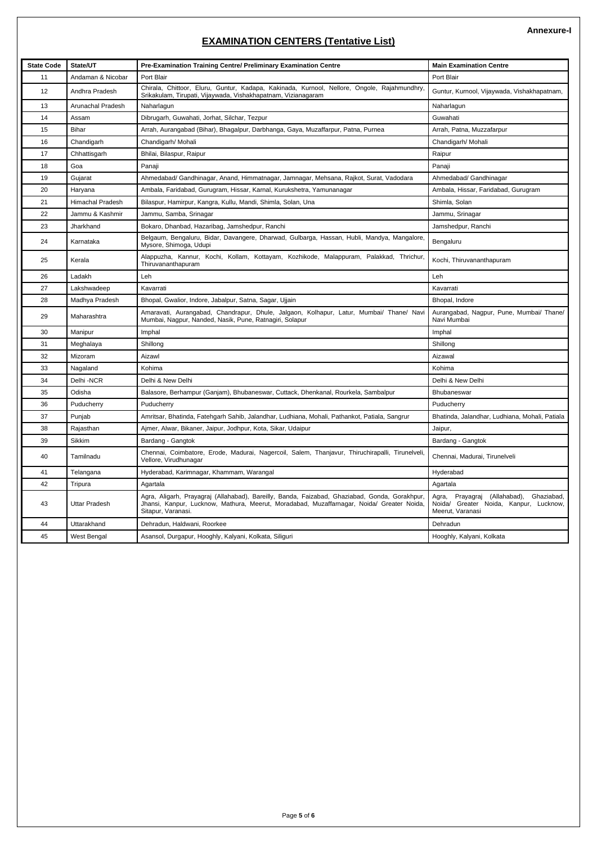Page **5** of **6**

### **EXAMINATION CENTERS (Tentative List)**

| <b>State Code</b> | State/UT                | Pre-Examination Training Centre/ Preliminary Examination Centre                                                                                                                                                  | <b>Main Examination Centre</b>                                                                              |
|-------------------|-------------------------|------------------------------------------------------------------------------------------------------------------------------------------------------------------------------------------------------------------|-------------------------------------------------------------------------------------------------------------|
| 11                | Andaman & Nicobar       | Port Blair                                                                                                                                                                                                       | Port Blair                                                                                                  |
| 12                | Andhra Pradesh          | Chirala, Chittoor, Eluru, Guntur, Kadapa, Kakinada, Kurnool, Nellore, Ongole, Rajahmundhry,<br>Srikakulam, Tirupati, Vijaywada, Vishakhapatnam, Vizianagaram                                                     | Guntur, Kurnool, Vijaywada, Vishakhapatnam,                                                                 |
| 13                | Arunachal Pradesh       | Naharlagun                                                                                                                                                                                                       | Naharlagun                                                                                                  |
| 14                | Assam                   | Dibrugarh, Guwahati, Jorhat, Silchar, Tezpur                                                                                                                                                                     | Guwahati                                                                                                    |
| 15                | Bihar                   | Arrah, Aurangabad (Bihar), Bhagalpur, Darbhanga, Gaya, Muzaffarpur, Patna, Purnea                                                                                                                                | Arrah, Patna, Muzzafarpur                                                                                   |
| 16                | Chandigarh              | Chandigarh/ Mohali                                                                                                                                                                                               | Chandigarh/ Mohali                                                                                          |
| 17                | Chhattisgarh            | Bhilai, Bilaspur, Raipur                                                                                                                                                                                         | Raipur                                                                                                      |
| 18                | Goa                     | Panaji                                                                                                                                                                                                           | Panaji                                                                                                      |
| 19                | Gujarat                 | Ahmedabad/ Gandhinagar, Anand, Himmatnagar, Jamnagar, Mehsana, Rajkot, Surat, Vadodara                                                                                                                           | Ahmedabad/ Gandhinagar                                                                                      |
| 20                | Haryana                 | Ambala, Faridabad, Gurugram, Hissar, Karnal, Kurukshetra, Yamunanagar                                                                                                                                            | Ambala, Hissar, Faridabad, Gurugram                                                                         |
| 21                | <b>Himachal Pradesh</b> | Bilaspur, Hamirpur, Kangra, Kullu, Mandi, Shimla, Solan, Una                                                                                                                                                     | Shimla, Solan                                                                                               |
| 22                | Jammu & Kashmir         | Jammu, Samba, Srinagar                                                                                                                                                                                           | Jammu, Srinagar                                                                                             |
| 23                | Jharkhand               | Bokaro, Dhanbad, Hazaribag, Jamshedpur, Ranchi                                                                                                                                                                   | Jamshedpur, Ranchi                                                                                          |
| 24                | Karnataka               | Belgaum, Bengaluru, Bidar, Davangere, Dharwad, Gulbarga, Hassan, Hubli, Mandya, Mangalore,<br>Mysore, Shimoga, Udupi                                                                                             | Bengaluru                                                                                                   |
| 25                | Kerala                  | Alappuzha, Kannur, Kochi, Kollam, Kottayam, Kozhikode, Malappuram, Palakkad, Thrichur,<br>Thiruvananthapuram                                                                                                     | Kochi, Thiruvananthapuram                                                                                   |
| 26                | Ladakh                  | Leh                                                                                                                                                                                                              | Leh                                                                                                         |
| 27                | Lakshwadeep             | Kavarrati                                                                                                                                                                                                        | Kavarrati                                                                                                   |
| 28                | Madhya Pradesh          | Bhopal, Gwalior, Indore, Jabalpur, Satna, Sagar, Ujjain                                                                                                                                                          | Bhopal, Indore                                                                                              |
| 29                | Maharashtra             | Amaravati, Aurangabad, Chandrapur, Dhule, Jalgaon, Kolhapur, Latur, Mumbai/ Thane/ Navi<br>Mumbai, Nagpur, Nanded, Nasik, Pune, Ratnagiri, Solapur                                                               | Aurangabad, Nagpur, Pune, Mumbai/ Thane/<br>Navi Mumbai                                                     |
| 30                | Manipur                 | Imphal                                                                                                                                                                                                           | Imphal                                                                                                      |
| 31                | Meghalaya               | Shillong                                                                                                                                                                                                         | Shillong                                                                                                    |
| 32                | Mizoram                 | Aizawl                                                                                                                                                                                                           | Aizawal                                                                                                     |
| 33                | Nagaland                | Kohima                                                                                                                                                                                                           | Kohima                                                                                                      |
| 34                | Delhi -NCR              | Delhi & New Delhi                                                                                                                                                                                                | Delhi & New Delhi                                                                                           |
| 35                | Odisha                  | Balasore, Berhampur (Ganjam), Bhubaneswar, Cuttack, Dhenkanal, Rourkela, Sambalpur                                                                                                                               | Bhubaneswar                                                                                                 |
| 36                | Puducherry              | Puducherry                                                                                                                                                                                                       | Puducherry                                                                                                  |
| 37                | Punjab                  | Amritsar, Bhatinda, Fatehgarh Sahib, Jalandhar, Ludhiana, Mohali, Pathankot, Patiala, Sangrur                                                                                                                    | Bhatinda, Jalandhar, Ludhiana, Mohali, Patiala                                                              |
| 38                | Rajasthan               | Ajmer, Alwar, Bikaner, Jaipur, Jodhpur, Kota, Sikar, Udaipur                                                                                                                                                     | Jaipur,                                                                                                     |
| 39                | Sikkim                  | Bardang - Gangtok                                                                                                                                                                                                | Bardang - Gangtok                                                                                           |
| 40                | Tamilnadu               | Chennai, Coimbatore, Erode, Madurai, Nagercoil, Salem, Thanjavur, Thiruchirapalli, Tirunelveli,<br>Vellore, Virudhunagar                                                                                         | Chennai, Madurai, Tirunelveli                                                                               |
| 41                | Telangana               | Hyderabad, Karimnagar, Khammam, Warangal                                                                                                                                                                         | Hyderabad                                                                                                   |
| 42                | Tripura                 | Agartala                                                                                                                                                                                                         | Agartala                                                                                                    |
| 43                | <b>Uttar Pradesh</b>    | Agra, Aligarh, Prayagraj (Allahabad), Bareilly, Banda, Faizabad, Ghaziabad, Gonda, Gorakhpur,<br>Jhansi, Kanpur, Lucknow, Mathura, Meerut, Moradabad, Muzaffarnagar, Noida/ Greater Noida,<br>Sitapur, Varanasi. | Ghaziabad,<br>Prayagraj (Allahabad),<br>Agra,<br>Noida/ Greater Noida, Kanpur, Lucknow,<br>Meerut, Varanasi |
| 44                | Uttarakhand             | Dehradun, Haldwani, Roorkee                                                                                                                                                                                      | Dehradun                                                                                                    |
| 45                | West Bengal             | Asansol, Durgapur, Hooghly, Kalyani, Kolkata, Siliguri                                                                                                                                                           | Hooghly, Kalyani, Kolkata                                                                                   |